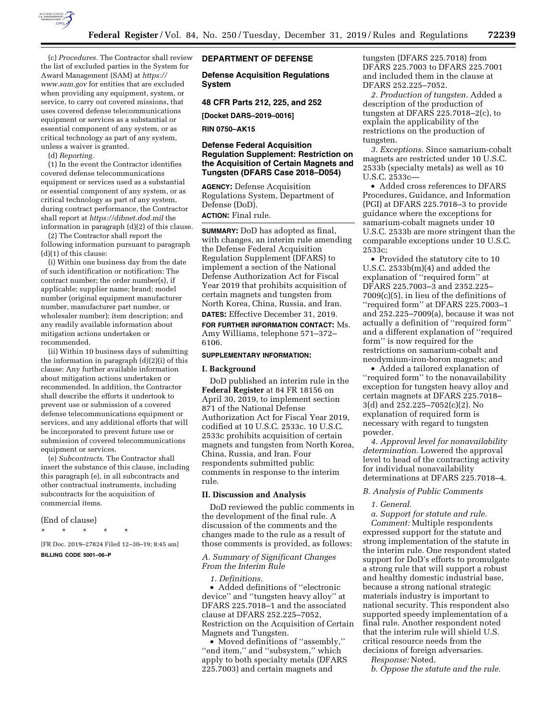

(c) *Procedures.* The Contractor shall review the list of excluded parties in the System for Award Management (SAM) at *[https://](https://www.sam.gov) [www.sam.gov](https://www.sam.gov)* for entities that are excluded when providing any equipment, system, or service, to carry out covered missions, that uses covered defense telecommunications equipment or services as a substantial or essential component of any system, or as critical technology as part of any system, unless a waiver is granted.

(d) *Reporting.* 

(1) In the event the Contractor identifies covered defense telecommunications equipment or services used as a substantial or essential component of any system, or as critical technology as part of any system, during contract performance, the Contractor shall report at *<https://dibnet.dod.mil>*the information in paragraph (d)(2) of this clause.

(2) The Contractor shall report the following information pursuant to paragraph (d)(1) of this clause:

(i) Within one business day from the date of such identification or notification: The contract number; the order number(s), if applicable; supplier name; brand; model number (original equipment manufacturer number, manufacturer part number, or wholesaler number); item description; and any readily available information about mitigation actions undertaken or recommended.

(ii) Within 10 business days of submitting the information in paragraph (d)(2)(i) of this clause: Any further available information about mitigation actions undertaken or recommended. In addition, the Contractor shall describe the efforts it undertook to prevent use or submission of a covered defense telecommunications equipment or services, and any additional efforts that will be incorporated to prevent future use or submission of covered telecommunications equipment or services.

(e) *Subcontracts.* The Contractor shall insert the substance of this clause, including this paragraph (e), in all subcontracts and other contractual instruments, including subcontracts for the acquisition of commercial items.

### (End of clause)

\* \* \* \* \*

[FR Doc. 2019–27824 Filed 12–30–19; 8:45 am] **BILLING CODE 5001–06–P** 

# **DEPARTMENT OF DEFENSE**

**Defense Acquisition Regulations System** 

### **48 CFR Parts 212, 225, and 252**

**[Docket DARS–2019–0016]** 

**RIN 0750–AK15** 

# **Defense Federal Acquisition Regulation Supplement: Restriction on the Acquisition of Certain Magnets and Tungsten (DFARS Case 2018–D054)**

**AGENCY:** Defense Acquisition Regulations System, Department of Defense (DoD). **ACTION:** Final rule.

**SUMMARY:** DoD has adopted as final, with changes, an interim rule amending the Defense Federal Acquisition Regulation Supplement (DFARS) to implement a section of the National Defense Authorization Act for Fiscal Year 2019 that prohibits acquisition of certain magnets and tungsten from North Korea, China, Russia, and Iran.

**DATES:** Effective December 31, 2019. **FOR FURTHER INFORMATION CONTACT:** Ms. Amy Williams, telephone 571–372– 6106.

### **SUPPLEMENTARY INFORMATION:**

### **I. Background**

DoD published an interim rule in the **Federal Register** at 84 FR 18156 on April 30, 2019, to implement section 871 of the National Defense Authorization Act for Fiscal Year 2019, codified at 10 U.S.C. 2533c. 10 U.S.C. 2533c prohibits acquisition of certain magnets and tungsten from North Korea, China, Russia, and Iran. Four respondents submitted public comments in response to the interim rule.

## **II. Discussion and Analysis**

DoD reviewed the public comments in the development of the final rule. A discussion of the comments and the changes made to the rule as a result of those comments is provided, as follows:

## *A. Summary of Significant Changes From the Interim Rule*

### *1. Definitions.*

• Added definitions of ''electronic device'' and ''tungsten heavy alloy'' at DFARS 225.7018–1 and the associated clause at DFARS 252.225–7052, Restriction on the Acquisition of Certain Magnets and Tungsten.

• Moved definitions of ''assembly,'' ''end item,'' and ''subsystem,'' which apply to both specialty metals (DFARS 225.7003) and certain magnets and

tungsten (DFARS 225.7018) from DFARS 225.7003 to DFARS 225.7001 and included them in the clause at DFARS 252.225–7052.

*2. Production of tungsten.* Added a description of the production of tungsten at DFARS 225.7018–2(c), to explain the applicability of the restrictions on the production of tungsten.

*3. Exceptions.* Since samarium-cobalt magnets are restricted under 10 U.S.C. 2533b (specialty metals) as well as 10 U.S.C. 2533c—

• Added cross references to DFARS Procedures, Guidance, and Information (PGI) at DFARS 225.7018–3 to provide guidance where the exceptions for samarium-cobalt magnets under 10 U.S.C. 2533b are more stringent than the comparable exceptions under 10 U.S.C. 2533c;

• Provided the statutory cite to 10 U.S.C. 2533b(m)(4) and added the explanation of ''required form'' at DFARS 225.7003–3 and 2352.225– 7009(c)(5), in lieu of the definitions of ''required form'' at DFARS 225.7003–1 and 252.225–7009(a), because it was not actually a definition of ''required form'' and a different explanation of ''required form'' is now required for the restrictions on samarium-cobalt and neodymium-iron-boron magnets; and

• Added a tailored explanation of ''required form'' to the nonavailability exception for tungsten heavy alloy and certain magnets at DFARS 225.7018– 3(d) and 252.225–7052(c)(2). No explanation of required form is necessary with regard to tungsten powder.

*4. Approval level for nonavailability determination.* Lowered the approval level to head of the contracting activity for individual nonavailability determinations at DFARS 225.7018–4.

#### *B. Analysis of Public Comments*

### *1. General.*

*a. Support for statute and rule. Comment:* Multiple respondents expressed support for the statute and strong implementation of the statute in the interim rule. One respondent stated support for DoD's efforts to promulgate a strong rule that will support a robust and healthy domestic industrial base, because a strong national strategic materials industry is important to national security. This respondent also supported speedy implementation of a final rule. Another respondent noted that the interim rule will shield U.S. critical resource needs from the decisions of foreign adversaries.

*Response:* Noted.

*b. Oppose the statute and the rule.*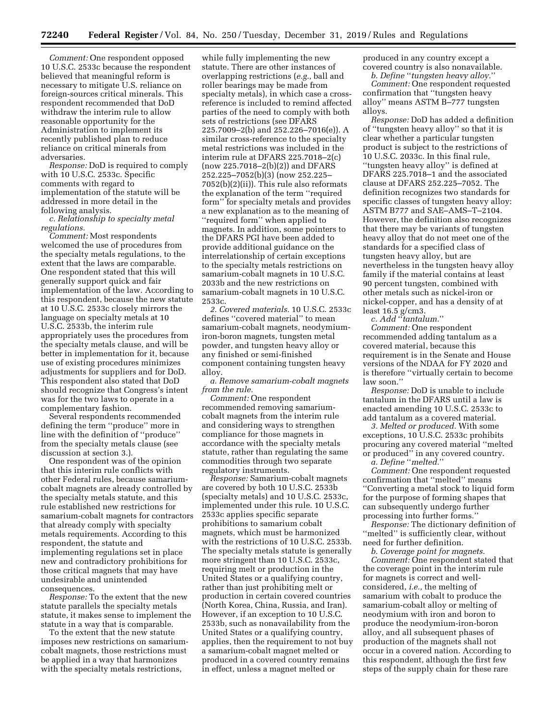*Comment:* One respondent opposed 10 U.S.C. 2533c because the respondent believed that meaningful reform is necessary to mitigate U.S. reliance on foreign-sources critical minerals. This respondent recommended that DoD withdraw the interim rule to allow reasonable opportunity for the Administration to implement its recently published plan to reduce reliance on critical minerals from adversaries.

*Response:* DoD is required to comply with 10 U.S.C. 2533c. Specific comments with regard to implementation of the statute will be addressed in more detail in the following analysis.

*c. Relationship to specialty metal regulations.* 

*Comment:* Most respondents welcomed the use of procedures from the specialty metals regulations, to the extent that the laws are comparable. One respondent stated that this will generally support quick and fair implementation of the law. According to this respondent, because the new statute at 10 U.S.C. 2533c closely mirrors the language on specialty metals at 10 U.S.C. 2533b, the interim rule appropriately uses the procedures from the specialty metals clause, and will be better in implementation for it, because use of existing procedures minimizes adjustments for suppliers and for DoD. This respondent also stated that DoD should recognize that Congress's intent was for the two laws to operate in a complementary fashion.

Several respondents recommended defining the term ''produce'' more in line with the definition of ''produce'' from the specialty metals clause (see discussion at section 3.).

One respondent was of the opinion that this interim rule conflicts with other Federal rules, because samariumcobalt magnets are already controlled by the specialty metals statute, and this rule established new restrictions for samarium-cobalt magnets for contractors that already comply with specialty metals requirements. According to this respondent, the statute and implementing regulations set in place new and contradictory prohibitions for those critical magnets that may have undesirable and unintended consequences.

*Response:* To the extent that the new statute parallels the specialty metals statute, it makes sense to implement the statute in a way that is comparable.

To the extent that the new statute imposes new restrictions on samariumcobalt magnets, those restrictions must be applied in a way that harmonizes with the specialty metals restrictions,

while fully implementing the new statute. There are other instances of overlapping restrictions (*e.g.,* ball and roller bearings may be made from specialty metals), in which case a crossreference is included to remind affected parties of the need to comply with both sets of restrictions (see DFARS 225.7009–2(b) and 252.226–7016(e)). A similar cross-reference to the specialty metal restrictions was included in the interim rule at DFARS 225.7018–2(c) (now 225.7018–2(b)(2)) and DFARS 252.225–7052(b)(3) (now 252.225– 7052(b)(2)(ii)). This rule also reformats the explanation of the term ''required form'' for specialty metals and provides a new explanation as to the meaning of ''required form'' when applied to magnets. In addition, some pointers to the DFARS PGI have been added to provide additional guidance on the interrelationship of certain exceptions to the specialty metals restrictions on samarium-cobalt magnets in 10 U.S.C. 2033b and the new restrictions on samarium-cobalt magnets in 10 U.S.C. 2533c.

*2. Covered materials.* 10 U.S.C. 2533c defines ''covered material'' to mean samarium-cobalt magnets, neodymiumiron-boron magnets, tungsten metal powder, and tungsten heavy alloy or any finished or semi-finished component containing tungsten heavy alloy.

*a. Remove samarium-cobalt magnets from the rule.* 

*Comment:* One respondent recommended removing samariumcobalt magnets from the interim rule and considering ways to strengthen compliance for those magnets in accordance with the specialty metals statute, rather than regulating the same commodities through two separate regulatory instruments.

*Response:* Samarium-cobalt magnets are covered by both 10 U.S.C. 2533b (specialty metals) and 10 U.S.C. 2533c, implemented under this rule. 10 U.S.C. 2533c applies specific separate prohibitions to samarium cobalt magnets, which must be harmonized with the restrictions of 10 U.S.C. 2533b. The specialty metals statute is generally more stringent than 10 U.S.C. 2533c, requiring melt or production in the United States or a qualifying country, rather than just prohibiting melt or production in certain covered countries (North Korea, China, Russia, and Iran). However, if an exception to 10 U.S.C. 2533b, such as nonavailability from the United States or a qualifying country, applies, then the requirement to not buy a samarium-cobalt magnet melted or produced in a covered country remains in effect, unless a magnet melted or

produced in any country except a covered country is also nonavailable.

*b. Define* ''*tungsten heavy alloy.*'' *Comment:* One respondent requested confirmation that ''tungsten heavy alloy'' means ASTM B–777 tungsten alloys.

*Response:* DoD has added a definition of ''tungsten heavy alloy'' so that it is clear whether a particular tungsten product is subject to the restrictions of 10 U.S.C. 2033c. In this final rule, ''tungsten heavy alloy'' is defined at DFARS 225.7018–1 and the associated clause at DFARS 252.225–7052. The definition recognizes two standards for specific classes of tungsten heavy alloy: ASTM B777 and SAE–AMS–T–2104. However, the definition also recognizes that there may be variants of tungsten heavy alloy that do not meet one of the standards for a specified class of tungsten heavy alloy, but are nevertheless in the tungsten heavy alloy family if the material contains at least 90 percent tungsten, combined with other metals such as nickel-iron or nickel-copper, and has a density of at least 16.5 g/cm3.

*c. Add* ''*tantalum.*''

*Comment:* One respondent recommended adding tantalum as a covered material, because this requirement is in the Senate and House versions of the NDAA for FY 2020 and is therefore ''virtually certain to become law soon.''

*Response:* DoD is unable to include tantalum in the DFARS until a law is enacted amending 10 U.S.C. 2533c to add tantalum as a covered material.

*3. Melted or produced.* With some exceptions, 10 U.S.C. 2533c prohibits procuring any covered material ''melted or produced'' in any covered country. *a. Define* ''*melted.*''

*Comment:* One respondent requested confirmation that ''melted'' means ''Converting a metal stock to liquid form for the purpose of forming shapes that can subsequently undergo further processing into further forms.''

*Response:* The dictionary definition of ''melted'' is sufficiently clear, without need for further definition.

*b. Coverage point for magnets. Comment:* One respondent stated that the coverage point in the interim rule for magnets is correct and wellconsidered, *i.e.,* the melting of samarium with cobalt to produce the samarium-cobalt alloy or melting of neodymium with iron and boron to produce the neodymium-iron-boron alloy, and all subsequent phases of production of the magnets shall not occur in a covered nation. According to this respondent, although the first few steps of the supply chain for these rare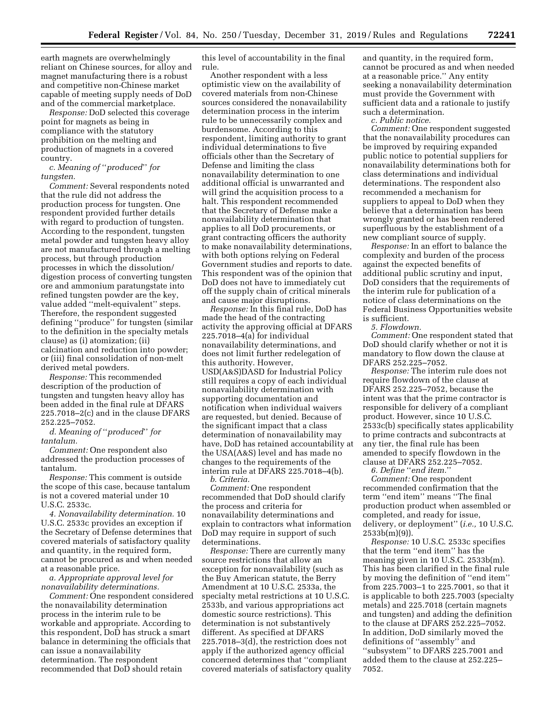earth magnets are overwhelmingly reliant on Chinese sources, for alloy and magnet manufacturing there is a robust and competitive non-Chinese market capable of meeting supply needs of DoD and of the commercial marketplace.

*Response:* DoD selected this coverage point for magnets as being in compliance with the statutory prohibition on the melting and production of magnets in a covered country.

*c. Meaning of* ''*produced*'' *for tungsten.* 

*Comment:* Several respondents noted that the rule did not address the production process for tungsten. One respondent provided further details with regard to production of tungsten. According to the respondent, tungsten metal powder and tungsten heavy alloy are not manufactured through a melting process, but through production processes in which the dissolution/ digestion process of converting tungsten ore and ammonium paratungstate into refined tungsten powder are the key, value added ''melt-equivalent'' steps. Therefore, the respondent suggested defining ''produce'' for tungsten (similar to the definition in the specialty metals clause) as (i) atomization; (ii) calcination and reduction into powder; or (iii) final consolidation of non-melt derived metal powders.

*Response:* This recommended description of the production of tungsten and tungsten heavy alloy has been added in the final rule at DFARS 225.7018–2(c) and in the clause DFARS 252.225–7052.

*d. Meaning of* ''*produced*'' *for tantalum.* 

*Comment:* One respondent also addressed the production processes of tantalum.

*Response:* This comment is outside the scope of this case, because tantalum is not a covered material under 10 U.S.C. 2533c.

*4. Nonavailability determination.* 10 U.S.C. 2533c provides an exception if the Secretary of Defense determines that covered materials of satisfactory quality and quantity, in the required form, cannot be procured as and when needed at a reasonable price.

*a. Appropriate approval level for nonavailability determinations.* 

*Comment:* One respondent considered the nonavailability determination process in the interim rule to be workable and appropriate. According to this respondent, DoD has struck a smart balance in determining the officials that can issue a nonavailability determination. The respondent recommended that DoD should retain

this level of accountability in the final rule.

Another respondent with a less optimistic view on the availability of covered materials from non-Chinese sources considered the nonavailability determination process in the interim rule to be unnecessarily complex and burdensome. According to this respondent, limiting authority to grant individual determinations to five officials other than the Secretary of Defense and limiting the class nonavailability determination to one additional official is unwarranted and will grind the acquisition process to a halt. This respondent recommended that the Secretary of Defense make a nonavailability determination that applies to all DoD procurements, or grant contracting officers the authority to make nonavailability determinations, with both options relying on Federal Government studies and reports to date. This respondent was of the opinion that DoD does not have to immediately cut off the supply chain of critical minerals and cause major disruptions.

*Response:* In this final rule, DoD has made the head of the contracting activity the approving official at DFARS 225.7018–4(a) for individual nonavailability determinations, and does not limit further redelegation of this authority. However, USD(A&S)DASD for Industrial Policy still requires a copy of each individual nonavailability determination with supporting documentation and notification when individual waivers are requested, but denied. Because of the significant impact that a class determination of nonavailability may have, DoD has retained accountability at the USA(A&S) level and has made no changes to the requirements of the interim rule at DFARS 225.7018–4(b). *b. Criteria.* 

*Comment:* One respondent recommended that DoD should clarify the process and criteria for nonavailability determinations and explain to contractors what information DoD may require in support of such determinations.

*Response:* There are currently many source restrictions that allow an exception for nonavailability (such as the Buy American statute, the Berry Amendment at 10 U.S.C. 2533a, the specialty metal restrictions at 10 U.S.C. 2533b, and various appropriations act domestic source restrictions). This determination is not substantively different. As specified at DFARS 225.7018–3(d), the restriction does not apply if the authorized agency official concerned determines that ''compliant covered materials of satisfactory quality and quantity, in the required form, cannot be procured as and when needed at a reasonable price.'' Any entity seeking a nonavailability determination must provide the Government with sufficient data and a rationale to justify such a determination.

*c. Public notice.* 

*Comment:* One respondent suggested that the nonavailability procedures can be improved by requiring expanded public notice to potential suppliers for nonavailability determinations both for class determinations and individual determinations. The respondent also recommended a mechanism for suppliers to appeal to DoD when they believe that a determination has been wrongly granted or has been rendered superfluous by the establishment of a new compliant source of supply.

*Response:* In an effort to balance the complexity and burden of the process against the expected benefits of additional public scrutiny and input, DoD considers that the requirements of the interim rule for publication of a notice of class determinations on the Federal Business Opportunities website is sufficient.

*5. Flowdown.* 

*Comment:* One respondent stated that DoD should clarify whether or not it is mandatory to flow down the clause at DFARS 252.225–7052.

*Response:* The interim rule does not require flowdown of the clause at DFARS 252.225–7052, because the intent was that the prime contractor is responsible for delivery of a compliant product. However, since 10 U.S.C. 2533c(b) specifically states applicability to prime contracts and subcontracts at any tier, the final rule has been amended to specify flowdown in the clause at DFARS 252.225–7052.

*6. Define* ''*end item.*''

*Comment:* One respondent recommended confirmation that the term ''end item'' means ''The final production product when assembled or completed, and ready for issue, delivery, or deployment'' (*i.e.,* 10 U.S.C.  $2533b(m)(9)$ ).

*Response:* 10 U.S.C. 2533c specifies that the term ''end item'' has the meaning given in 10 U.S.C. 2533b(m). This has been clarified in the final rule by moving the definition of ''end item'' from 225.7003–1 to 225.7001, so that it is applicable to both 225.7003 (specialty metals) and 225.7018 (certain magnets and tungsten) and adding the definition to the clause at DFARS 252.225–7052. In addition, DoD similarly moved the definitions of ''assembly'' and ''subsystem'' to DFARS 225.7001 and added them to the clause at 252.225– 7052.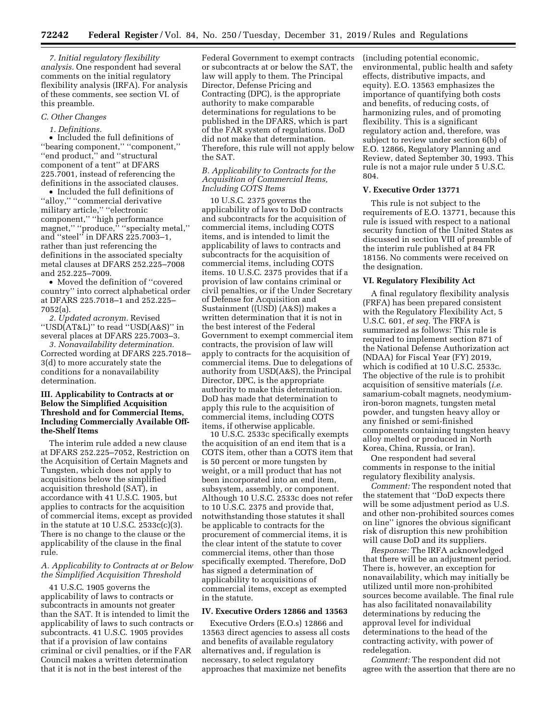*7. Initial regulatory flexibility analysis.* One respondent had several comments on the initial regulatory flexibility analysis (IRFA). For analysis of these comments, see section VI. of this preamble.

### *C. Other Changes*

## *1. Definitions.*

• Included the full definitions of ''bearing component,'' ''component,'' ''end product,'' and ''structural component of a tent'' at DFARS 225.7001, instead of referencing the definitions in the associated clauses.

• Included the full definitions of ''alloy,'' ''commercial derivative military article,'' ''electronic component,'' ''high performance magnet," "produce," "specialty metal," and ''steel'' in DFARS 225.7003–1, rather than just referencing the definitions in the associated specialty metal clauses at DFARS 252.225–7008 and 252.225–7009.

• Moved the definition of ''covered country'' into correct alphabetical order at DFARS 225.7018–1 and 252.225– 7052(a).

*2. Updated acronym.* Revised ''USD(AT&L)'' to read ''USD(A&S)'' in several places at DFARS 225.7003–3.

*3. Nonavailability determination.*  Corrected wording at DFARS 225.7018– 3(d) to more accurately state the conditions for a nonavailability determination.

## **III. Applicability to Contracts at or Below the Simplified Acquisition Threshold and for Commercial Items, Including Commercially Available Offthe-Shelf Items**

The interim rule added a new clause at DFARS 252.225–7052, Restriction on the Acquisition of Certain Magnets and Tungsten, which does not apply to acquisitions below the simplified acquisition threshold (SAT), in accordance with 41 U.S.C. 1905, but applies to contracts for the acquisition of commercial items, except as provided in the statute at 10 U.S.C. 2533c(c)(3). There is no change to the clause or the applicability of the clause in the final rule.

## *A. Applicability to Contracts at or Below the Simplified Acquisition Threshold*

41 U.S.C. 1905 governs the applicability of laws to contracts or subcontracts in amounts not greater than the SAT. It is intended to limit the applicability of laws to such contracts or subcontracts. 41 U.S.C. 1905 provides that if a provision of law contains criminal or civil penalties, or if the FAR Council makes a written determination that it is not in the best interest of the

Federal Government to exempt contracts or subcontracts at or below the SAT, the law will apply to them. The Principal Director, Defense Pricing and Contracting (DPC), is the appropriate authority to make comparable determinations for regulations to be published in the DFARS, which is part of the FAR system of regulations. DoD did not make that determination. Therefore, this rule will not apply below the SAT.

## *B. Applicability to Contracts for the Acquisition of Commercial Items, Including COTS Items*

10 U.S.C. 2375 governs the applicability of laws to DoD contracts and subcontracts for the acquisition of commercial items, including COTS items, and is intended to limit the applicability of laws to contracts and subcontracts for the acquisition of commercial items, including COTS items. 10 U.S.C. 2375 provides that if a provision of law contains criminal or civil penalties, or if the Under Secretary of Defense for Acquisition and Sustainment ((USD) (A&S)) makes a written determination that it is not in the best interest of the Federal Government to exempt commercial item contracts, the provision of law will apply to contracts for the acquisition of commercial items. Due to delegations of authority from USD(A&S), the Principal Director, DPC, is the appropriate authority to make this determination. DoD has made that determination to apply this rule to the acquisition of commercial items, including COTS items, if otherwise applicable.

10 U.S.C. 2533c specifically exempts the acquisition of an end item that is a COTS item, other than a COTS item that is 50 percent or more tungsten by weight, or a mill product that has not been incorporated into an end item, subsystem, assembly, or component. Although 10 U.S.C. 2533c does not refer to 10 U.S.C. 2375 and provide that, notwithstanding those statutes it shall be applicable to contracts for the procurement of commercial items, it is the clear intent of the statute to cover commercial items, other than those specifically exempted. Therefore, DoD has signed a determination of applicability to acquisitions of commercial items, except as exempted in the statute.

#### **IV. Executive Orders 12866 and 13563**

Executive Orders (E.O.s) 12866 and 13563 direct agencies to assess all costs and benefits of available regulatory alternatives and, if regulation is necessary, to select regulatory approaches that maximize net benefits

(including potential economic, environmental, public health and safety effects, distributive impacts, and equity). E.O. 13563 emphasizes the importance of quantifying both costs and benefits, of reducing costs, of harmonizing rules, and of promoting flexibility. This is a significant regulatory action and, therefore, was subject to review under section 6(b) of E.O. 12866, Regulatory Planning and Review, dated September 30, 1993. This rule is not a major rule under 5 U.S.C. 804.

# **V. Executive Order 13771**

This rule is not subject to the requirements of E.O. 13771, because this rule is issued with respect to a national security function of the United States as discussed in section VIII of preamble of the interim rule published at 84 FR 18156. No comments were received on the designation.

### **VI. Regulatory Flexibility Act**

A final regulatory flexibility analysis (FRFA) has been prepared consistent with the Regulatory Flexibility Act, 5 U.S.C. 601, *et seq.* The FRFA is summarized as follows: This rule is required to implement section 871 of the National Defense Authorization act (NDAA) for Fiscal Year (FY) 2019, which is codified at 10 U.S.C. 2533c. The objective of the rule is to prohibit acquisition of sensitive materials (*i.e.*  samarium-cobalt magnets, neodymiumiron-boron magnets, tungsten metal powder, and tungsten heavy alloy or any finished or semi-finished components containing tungsten heavy alloy melted or produced in North Korea, China, Russia, or Iran).

One respondent had several comments in response to the initial regulatory flexibility analysis.

*Comment:* The respondent noted that the statement that ''DoD expects there will be some adjustment period as U.S. and other non-prohibited sources comes on line'' ignores the obvious significant risk of disruption this new prohibition will cause DoD and its suppliers.

*Response:* The IRFA acknowledged that there will be an adjustment period. There is, however, an exception for nonavailability, which may initially be utilized until more non-prohibited sources become available. The final rule has also facilitated nonavailability determinations by reducing the approval level for individual determinations to the head of the contracting activity, with power of redelegation.

*Comment:* The respondent did not agree with the assertion that there are no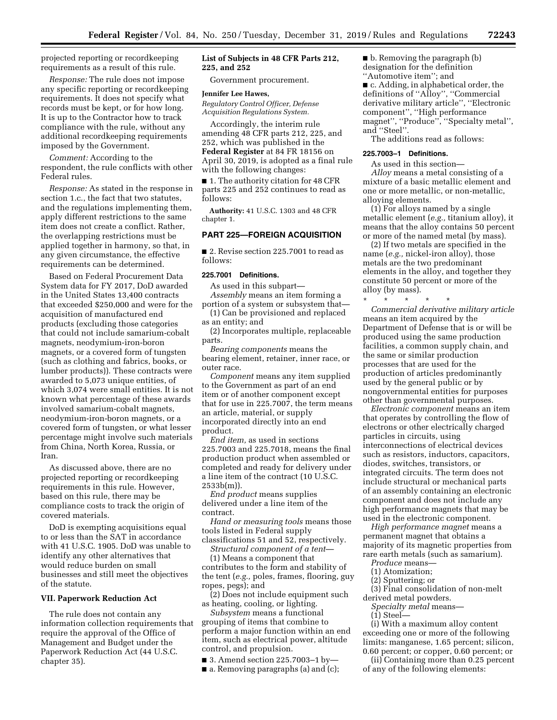projected reporting or recordkeeping requirements as a result of this rule.

*Response:* The rule does not impose any specific reporting or recordkeeping requirements. It does not specify what records must be kept, or for how long. It is up to the Contractor how to track compliance with the rule, without any additional recordkeeping requirements imposed by the Government.

*Comment:* According to the respondent, the rule conflicts with other Federal rules.

*Response:* As stated in the response in section 1.c., the fact that two statutes, and the regulations implementing them, apply different restrictions to the same item does not create a conflict. Rather, the overlapping restrictions must be applied together in harmony, so that, in any given circumstance, the effective requirements can be determined.

Based on Federal Procurement Data System data for FY 2017, DoD awarded in the United States 13,400 contracts that exceeded \$250,000 and were for the acquisition of manufactured end products (excluding those categories that could not include samarium-cobalt magnets, neodymium-iron-boron magnets, or a covered form of tungsten (such as clothing and fabrics, books, or lumber products)). These contracts were awarded to 5,073 unique entities, of which 3,074 were small entities. It is not known what percentage of these awards involved samarium-cobalt magnets, neodymium-iron-boron magnets, or a covered form of tungsten, or what lesser percentage might involve such materials from China, North Korea, Russia, or Iran.

As discussed above, there are no projected reporting or recordkeeping requirements in this rule. However, based on this rule, there may be compliance costs to track the origin of covered materials.

DoD is exempting acquisitions equal to or less than the SAT in accordance with 41 U.S.C. 1905. DoD was unable to identify any other alternatives that would reduce burden on small businesses and still meet the objectives of the statute.

### **VII. Paperwork Reduction Act**

The rule does not contain any information collection requirements that require the approval of the Office of Management and Budget under the Paperwork Reduction Act (44 U.S.C. chapter 35).

# **List of Subjects in 48 CFR Parts 212, 225, and 252**

Government procurement.

### **Jennifer Lee Hawes,**

*Regulatory Control Officer, Defense Acquisition Regulations System.* 

Accordingly, the interim rule amending 48 CFR parts 212, 225, and 252, which was published in the **Federal Register** at 84 FR 18156 on April 30, 2019, is adopted as a final rule with the following changes:

■ 1. The authority citation for 48 CFR parts 225 and 252 continues to read as follows:

**Authority:** 41 U.S.C. 1303 and 48 CFR chapter 1.

# **PART 225—FOREIGN ACQUISITION**

■ 2. Revise section 225.7001 to read as follows:

## **225.7001 Definitions.**

As used in this subpart—

*Assembly* means an item forming a portion of a system or subsystem that— (1) Can be provisioned and replaced

as an entity; and

(2) Incorporates multiple, replaceable parts.

*Bearing components* means the bearing element, retainer, inner race, or outer race.

*Component* means any item supplied to the Government as part of an end item or of another component except that for use in 225.7007, the term means an article, material, or supply incorporated directly into an end product.

*End item,* as used in sections 225.7003 and 225.7018, means the final production product when assembled or completed and ready for delivery under a line item of the contract (10 U.S.C.  $2533b(m)$ ).

*End product* means supplies delivered under a line item of the contract.

*Hand or measuring tools* means those tools listed in Federal supply

classifications 51 and 52, respectively. *Structural component of a tent*—

(1) Means a component that contributes to the form and stability of the tent (*e.g.,* poles, frames, flooring, guy ropes, pegs); and

(2) Does not include equipment such as heating, cooling, or lighting.

*Subsystem* means a functional grouping of items that combine to perform a major function within an end item, such as electrical power, altitude control, and propulsion.

■ 3. Amend section 225.7003-1 by-

■ a. Removing paragraphs (a) and (c);

# ■ b. Removing the paragraph (b) designation for the definition

''Automotive item''; and

■ c. Adding, in alphabetical order, the definitions of ''Alloy'', ''Commercial derivative military article'', ''Electronic component'', ''High performance magnet", "Produce", "Specialty metal", and ''Steel''.

The additions read as follows:

## **225.7003–1 Definitions.**

As used in this section— *Alloy* means a metal consisting of a mixture of a basic metallic element and one or more metallic, or non-metallic, alloying elements.

(1) For alloys named by a single metallic element (*e.g.,* titanium alloy), it means that the alloy contains 50 percent or more of the named metal (by mass).

(2) If two metals are specified in the name (*e.g.,* nickel-iron alloy), those metals are the two predominant elements in the alloy, and together they constitute 50 percent or more of the alloy (by mass).

\* \* \* \* \* *Commercial derivative military article*  means an item acquired by the Department of Defense that is or will be produced using the same production facilities, a common supply chain, and the same or similar production processes that are used for the production of articles predominantly used by the general public or by nongovernmental entities for purposes other than governmental purposes.

*Electronic component* means an item that operates by controlling the flow of electrons or other electrically charged particles in circuits, using interconnections of electrical devices such as resistors, inductors, capacitors, diodes, switches, transistors, or integrated circuits. The term does not include structural or mechanical parts of an assembly containing an electronic component and does not include any high performance magnets that may be used in the electronic component.

*High performance magnet* means a permanent magnet that obtains a majority of its magnetic properties from rare earth metals (such as samarium).

*Produce* means—

- (1) Atomization;
- (2) Sputtering; or

(3) Final consolidation of non-melt derived metal powders.

*Specialty metal* means—

(1) Steel—

(i) With a maximum alloy content exceeding one or more of the following limits: manganese, 1.65 percent; silicon, 0.60 percent; or copper, 0.60 percent; or

(ii) Containing more than 0.25 percent of any of the following elements: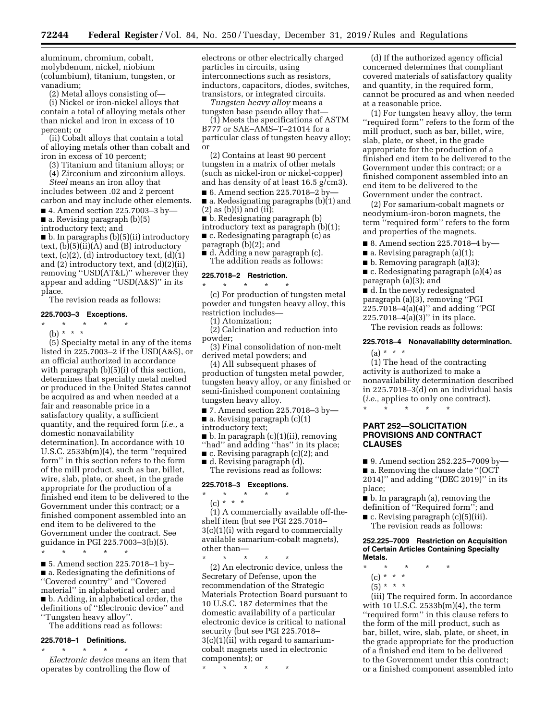aluminum, chromium, cobalt, molybdenum, nickel, niobium (columbium), titanium, tungsten, or vanadium;

(2) Metal alloys consisting of—

(i) Nickel or iron-nickel alloys that contain a total of alloying metals other than nickel and iron in excess of 10 percent; or

(ii) Cobalt alloys that contain a total of alloying metals other than cobalt and iron in excess of 10 percent;

(3) Titanium and titanium alloys; or

(4) Zirconium and zirconium alloys.

*Steel* means an iron alloy that includes between .02 and 2 percent carbon and may include other elements.

■ 4. Amend section 225.7003-3 by-■ a. Revising paragraph (b)(5)

introductory text; and

■ b. In paragraphs (b)(5)(ii) introductory text, (b)(5)(ii)(A) and (B) introductory text,  $(c)(2)$ ,  $(d)$  introductory text,  $(d)(1)$ and (2) introductory text, and (d)(2)(ii), removing ''USD(AT&L)'' wherever they appear and adding ''USD(A&S)'' in its place.

The revision reads as follows:

## **225.7003–3 Exceptions.**

\* \* \* \* \* (b) \* \* \*

(5) Specialty metal in any of the items listed in 225.7003–2 if the USD(A&S), or an official authorized in accordance with paragraph (b)(5)(i) of this section, determines that specialty metal melted or produced in the United States cannot be acquired as and when needed at a fair and reasonable price in a satisfactory quality, a sufficient quantity, and the required form (*i.e.,* a domestic nonavailability determination). In accordance with 10 U.S.C. 2533b(m)(4), the term ''required form'' in this section refers to the form of the mill product, such as bar, billet, wire, slab, plate, or sheet, in the grade appropriate for the production of a finished end item to be delivered to the Government under this contract; or a finished component assembled into an end item to be delivered to the Government under the contract. See guidance in PGI 225.7003–3(b)(5).

\* \* \* \* \* ■ 5. Amend section 225.7018–1 by– ■ a. Redesignating the definitions of ''Covered country'' and ''Covered material'' in alphabetical order; and ■ b. Adding, in alphabetical order, the definitions of ''Electronic device'' and ''Tungsten heavy alloy''.

The additions read as follows:

## **225.7018–1 Definitions.**  \* \* \* \* \*

*Electronic device* means an item that operates by controlling the flow of

electrons or other electrically charged particles in circuits, using interconnections such as resistors, inductors, capacitors, diodes, switches, transistors, or integrated circuits.

*Tungsten heavy alloy* means a tungsten base pseudo alloy that—

(1) Meets the specifications of ASTM B777 or SAE–AMS–T–21014 for a particular class of tungsten heavy alloy; or

(2) Contains at least 90 percent tungsten in a matrix of other metals (such as nickel-iron or nickel-copper) and has density of at least 16.5 g/cm3).

■ 6. Amend section 225.7018–2 by— ■ a. Redesignating paragraphs (b)(1) and

 $(2)$  as  $(b)(i)$  and  $(ii);$ 

■ b. Redesignating paragraph (b)

introductory text as paragraph (b)(1);

■ c. Redesignating paragraph (c) as

paragraph (b)(2); and

■ d. Adding a new paragraph (c). The addition reads as follows:

## **225.7018–2 Restriction.**

\* \* \* \* \* (c) For production of tungsten metal powder and tungsten heavy alloy, this restriction includes—

(1) Atomization;

(2) Calcination and reduction into powder;

(3) Final consolidation of non-melt derived metal powders; and

(4) All subsequent phases of production of tungsten metal powder, tungsten heavy alloy, or any finished or semi-finished component containing tungsten heavy alloy.

■ 7. Amend section 225.7018-3 by- $\blacksquare$  a. Revising paragraph (c)(1)

introductory text;

■ b. In paragraph (c)(1)(ii), removing

''had'' and adding ''has'' in its place;

 $\blacksquare$  c. Revising paragraph (c)(2); and

■ d. Revising paragraph (d). The revisions read as follows:

# **225.7018–3 Exceptions.**

\* \* \* \* \* (c) \* \* \*

(1) A commercially available off-theshelf item (but see PGI 225.7018– 3(c)(1)(i) with regard to commercially available samarium-cobalt magnets), other than—

\* \* \* \* \* (2) An electronic device, unless the Secretary of Defense, upon the recommendation of the Strategic Materials Protection Board pursuant to 10 U.S.C. 187 determines that the domestic availability of a particular electronic device is critical to national security (but see PGI 225.7018–  $3(c)(1)(ii)$  with regard to samariumcobalt magnets used in electronic components); or

\* \* \* \* \*

(d) If the authorized agency official concerned determines that compliant covered materials of satisfactory quality and quantity, in the required form, cannot be procured as and when needed at a reasonable price.

(1) For tungsten heavy alloy, the term ''required form'' refers to the form of the mill product, such as bar, billet, wire, slab, plate, or sheet, in the grade appropriate for the production of a finished end item to be delivered to the Government under this contract; or a finished component assembled into an end item to be delivered to the Government under the contract.

(2) For samarium-cobalt magnets or neodymium-iron-boron magnets, the term ''required form'' refers to the form and properties of the magnets.

■ 8. Amend section 225.7018–4 by—

■ a. Revising paragraph (a)(1);

■ b. Removing paragraph (a)(3);

■ c. Redesignating paragraph (a)(4) as paragraph (a)(3); and

■ d. In the newly redesignated

paragraph (a)(3), removing ''PGI

225.7018–4(a)(4)'' and adding ''PGI 225.7018–4(a)(3)'' in its place.

# The revision reads as follows:

# **225.7018–4 Nonavailability determination.**

 $(a) * * * *$ 

(1) The head of the contracting activity is authorized to make a nonavailability determination described in 225.7018–3(d) on an individual basis (*i.e.,* applies to only one contract). \* \* \* \* \*

# **PART 252—SOLICITATION PROVISIONS AND CONTRACT CLAUSES**

■ 9. Amend section 252.225–7009 by— ■ a. Removing the clause date "(OCT 2014)'' and adding ''(DEC 2019)'' in its place;

- b. In paragraph (a), removing the definition of ''Required form''; and
- c. Revising paragraph (c)(5)(iii). The revision reads as follows:

### **252.225–7009 Restriction on Acquisition of Certain Articles Containing Specialty Metals.**

- $\star$   $\qquad$   $\star$   $\qquad$   $\star$
- (c) \* \* \*
- $(5) * * * *$

(iii) The required form. In accordance with 10 U.S.C. 2533b(m)(4), the term ''required form'' in this clause refers to the form of the mill product, such as bar, billet, wire, slab, plate, or sheet, in the grade appropriate for the production of a finished end item to be delivered to the Government under this contract; or a finished component assembled into